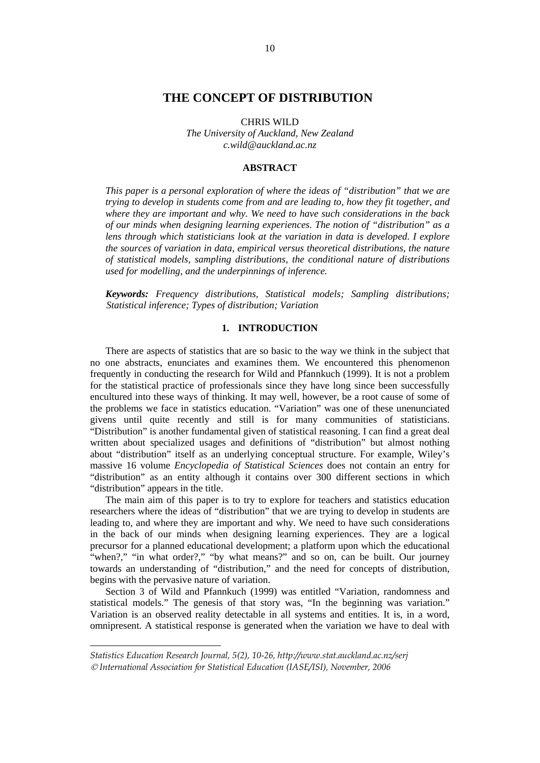# **THE CONCEPT OF DISTRIBUTION<sup>3</sup>**

CHRIS WILD

*The University of Auckland, New Zealand c.wild@auckland.ac.nz* 

#### **ABSTRACT**

*This paper is a personal exploration of where the ideas of "distribution" that we are trying to develop in students come from and are leading to, how they fit together, and where they are important and why. We need to have such considerations in the back of our minds when designing learning experiences. The notion of "distribution" as a lens through which statisticians look at the variation in data is developed. I explore the sources of variation in data, empirical versus theoretical distributions, the nature of statistical models, sampling distributions, the conditional nature of distributions used for modelling, and the underpinnings of inference.*

*Keywords: Frequency distributions, Statistical models; Sampling distributions; Statistical inference; Types of distribution; Variation*

#### **1. INTRODUCTION**

There are aspects of statistics that are so basic to the way we think in the subject that no one abstracts, enunciates and examines them. We encountered this phenomenon frequently in conducting the research for Wild and Pfannkuch (1999). It is not a problem for the statistical practice of professionals since they have long since been successfully encultured into these ways of thinking. It may well, however, be a root cause of some of the problems we face in statistics education. "Variation" was one of these unenunciated givens until quite recently and still is for many communities of statisticians. "Distribution" is another fundamental given of statistical reasoning. I can find a great deal written about specialized usages and definitions of "distribution" but almost nothing about "distribution" itself as an underlying conceptual structure. For example, Wiley's massive 16 volume *Encyclopedia of Statistical Sciences* does not contain an entry for "distribution" as an entity although it contains over 300 different sections in which "distribution" appears in the title.

The main aim of this paper is to try to explore for teachers and statistics education researchers where the ideas of "distribution" that we are trying to develop in students are leading to, and where they are important and why. We need to have such considerations in the back of our minds when designing learning experiences. They are a logical precursor for a planned educational development; a platform upon which the educational "when?," "in what order?," "by what means?" and so on, can be built. Our journey towards an understanding of "distribution," and the need for concepts of distribution, begins with the pervasive nature of variation.

Section 3 of Wild and Pfannkuch (1999) was entitled "Variation, randomness and statistical models." The genesis of that story was, "In the beginning was variation." Variation is an observed reality detectable in all systems and entities. It is, in a word, omnipresent. A statistical response is generated when the variation we have to deal with

1

*Statistics Education Research Journal, 5(2), 10-26, http://www.stat.auckland.ac.nz/serj*  © *International Association for Statistical Education (IASE/ISI), November, 2006*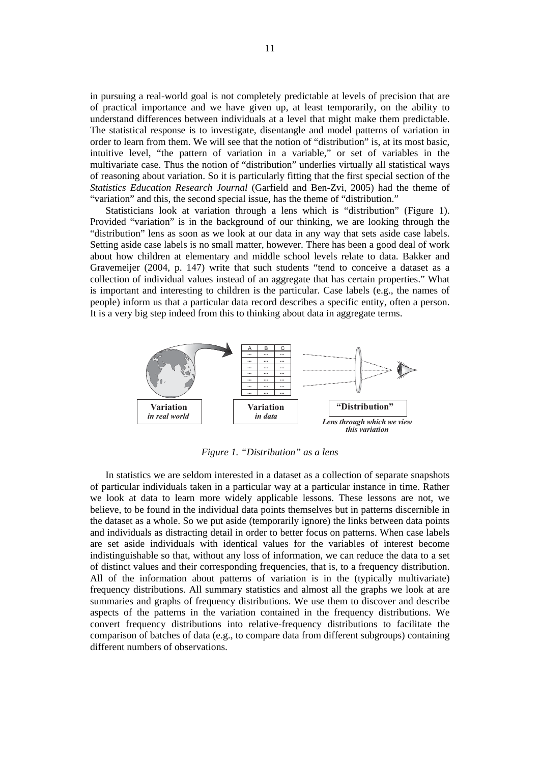in pursuing a real-world goal is not completely predictable at levels of precision that are of practical importance and we have given up, at least temporarily, on the ability to understand differences between individuals at a level that might make them predictable. The statistical response is to investigate, disentangle and model patterns of variation in order to learn from them. We will see that the notion of "distribution" is, at its most basic, intuitive level, "the pattern of variation in a variable," or set of variables in the multivariate case. Thus the notion of "distribution" underlies virtually all statistical ways of reasoning about variation. So it is particularly fitting that the first special section of the *Statistics Education Research Journal* (Garfield and Ben-Zvi, 2005) had the theme of "variation" and this, the second special issue, has the theme of "distribution."

Statisticians look at variation through a lens which is "distribution" (Figure 1). Provided "variation" is in the background of our thinking, we are looking through the "distribution" lens as soon as we look at our data in any way that sets aside case labels. Setting aside case labels is no small matter, however. There has been a good deal of work about how children at elementary and middle school levels relate to data. Bakker and Gravemeijer (2004, p. 147) write that such students "tend to conceive a dataset as a collection of individual values instead of an aggregate that has certain properties." What is important and interesting to children is the particular. Case labels (e.g., the names of people) inform us that a particular data record describes a specific entity, often a person. It is a very big step indeed from this to thinking about data in aggregate terms.



*Figure 1. "Distribution" as a lens* 

In statistics we are seldom interested in a dataset as a collection of separate snapshots of particular individuals taken in a particular way at a particular instance in time. Rather we look at data to learn more widely applicable lessons. These lessons are not, we believe, to be found in the individual data points themselves but in patterns discernible in the dataset as a whole. So we put aside (temporarily ignore) the links between data points and individuals as distracting detail in order to better focus on patterns. When case labels are set aside individuals with identical values for the variables of interest become indistinguishable so that, without any loss of information, we can reduce the data to a set of distinct values and their corresponding frequencies, that is, to a frequency distribution. All of the information about patterns of variation is in the (typically multivariate) frequency distributions. All summary statistics and almost all the graphs we look at are summaries and graphs of frequency distributions. We use them to discover and describe aspects of the patterns in the variation contained in the frequency distributions. We convert frequency distributions into relative-frequency distributions to facilitate the comparison of batches of data (e.g., to compare data from different subgroups) containing different numbers of observations.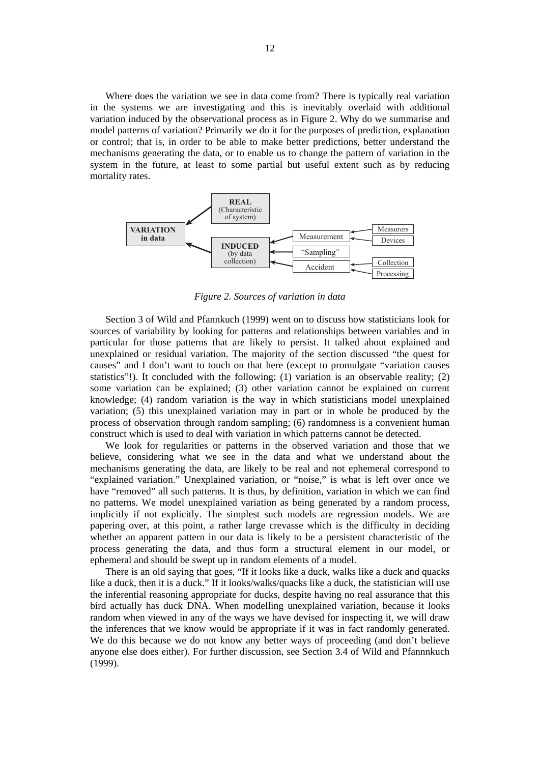Where does the variation we see in data come from? There is typically real variation in the systems we are investigating and this is inevitably overlaid with additional variation induced by the observational process as in Figure 2. Why do we summarise and model patterns of variation? Primarily we do it for the purposes of prediction, explanation or control; that is, in order to be able to make better predictions, better understand the mechanisms generating the data, or to enable us to change the pattern of variation in the system in the future, at least to some partial but useful extent such as by reducing mortality rates.



*Figure 2. Sources of variation in data* 

Section 3 of Wild and Pfannkuch (1999) went on to discuss how statisticians look for sources of variability by looking for patterns and relationships between variables and in particular for those patterns that are likely to persist. It talked about explained and unexplained or residual variation. The majority of the section discussed "the quest for causes" and I don't want to touch on that here (except to promulgate "variation causes statistics"!). It concluded with the following:  $(1)$  variation is an observable reality;  $(2)$ some variation can be explained; (3) other variation cannot be explained on current knowledge; (4) random variation is the way in which statisticians model unexplained variation; (5) this unexplained variation may in part or in whole be produced by the process of observation through random sampling; (6) randomness is a convenient human construct which is used to deal with variation in which patterns cannot be detected.

We look for regularities or patterns in the observed variation and those that we believe, considering what we see in the data and what we understand about the mechanisms generating the data, are likely to be real and not ephemeral correspond to "explained variation." Unexplained variation, or "noise," is what is left over once we have "removed" all such patterns. It is thus, by definition, variation in which we can find no patterns. We model unexplained variation as being generated by a random process, implicitly if not explicitly. The simplest such models are regression models. We are papering over, at this point, a rather large crevasse which is the difficulty in deciding whether an apparent pattern in our data is likely to be a persistent characteristic of the process generating the data, and thus form a structural element in our model, or ephemeral and should be swept up in random elements of a model.

There is an old saying that goes, "If it looks like a duck, walks like a duck and quacks like a duck, then it is a duck." If it looks/walks/quacks like a duck, the statistician will use the inferential reasoning appropriate for ducks, despite having no real assurance that this bird actually has duck DNA. When modelling unexplained variation, because it looks random when viewed in any of the ways we have devised for inspecting it, we will draw the inferences that we know would be appropriate if it was in fact randomly generated. We do this because we do not know any better ways of proceeding (and don't believe anyone else does either). For further discussion, see Section 3.4 of Wild and Pfannnkuch (1999).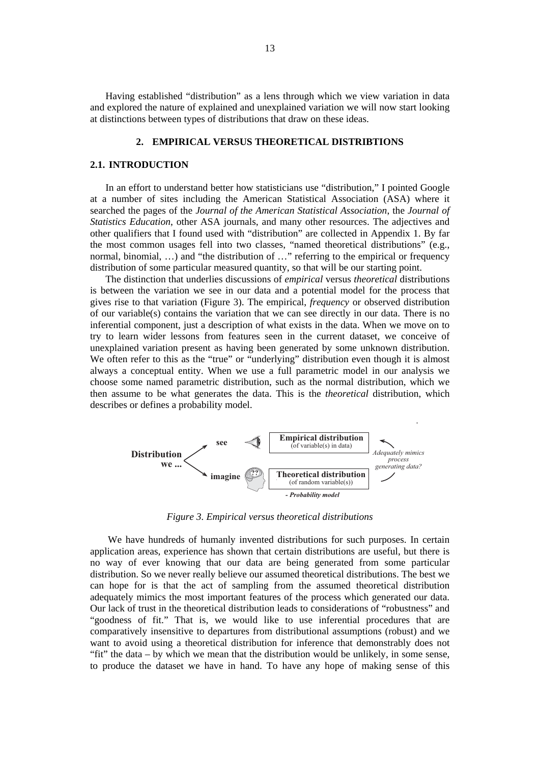Having established "distribution" as a lens through which we view variation in data and explored the nature of explained and unexplained variation we will now start looking at distinctions between types of distributions that draw on these ideas.

#### **2. EMPIRICAL VERSUS THEORETICAL DISTRIBTIONS**

#### **2.1. INTRODUCTION**

In an effort to understand better how statisticians use "distribution," I pointed Google at a number of sites including the American Statistical Association (ASA) where it searched the pages of the *Journal of the American Statistical Association*, the *Journal of Statistics Education*, other ASA journals, and many other resources. The adjectives and other qualifiers that I found used with "distribution" are collected in Appendix 1. By far the most common usages fell into two classes, "named theoretical distributions" (e.g., normal, binomial, …) and "the distribution of …" referring to the empirical or frequency distribution of some particular measured quantity, so that will be our starting point.

The distinction that underlies discussions of *empirical* versus *theoretical* distributions is between the variation we see in our data and a potential model for the process that gives rise to that variation (Figure 3). The empirical, *frequency* or observed distribution of our variable(s) contains the variation that we can see directly in our data. There is no inferential component, just a description of what exists in the data. When we move on to try to learn wider lessons from features seen in the current dataset, we conceive of unexplained variation present as having been generated by some unknown distribution. We often refer to this as the "true" or "underlying" distribution even though it is almost always a conceptual entity. When we use a full parametric model in our analysis we choose some named parametric distribution, such as the normal distribution, which we then assume to be what generates the data. This is the *theoretical* distribution, which describes or defines a probability model.



*Figure 3. Empirical versus theoretical distributions* 

 We have hundreds of humanly invented distributions for such purposes. In certain application areas, experience has shown that certain distributions are useful, but there is no way of ever knowing that our data are being generated from some particular distribution. So we never really believe our assumed theoretical distributions. The best we can hope for is that the act of sampling from the assumed theoretical distribution adequately mimics the most important features of the process which generated our data. Our lack of trust in the theoretical distribution leads to considerations of "robustness" and "goodness of fit." That is, we would like to use inferential procedures that are comparatively insensitive to departures from distributional assumptions (robust) and we want to avoid using a theoretical distribution for inference that demonstrably does not "fit" the data – by which we mean that the distribution would be unlikely, in some sense, to produce the dataset we have in hand. To have any hope of making sense of this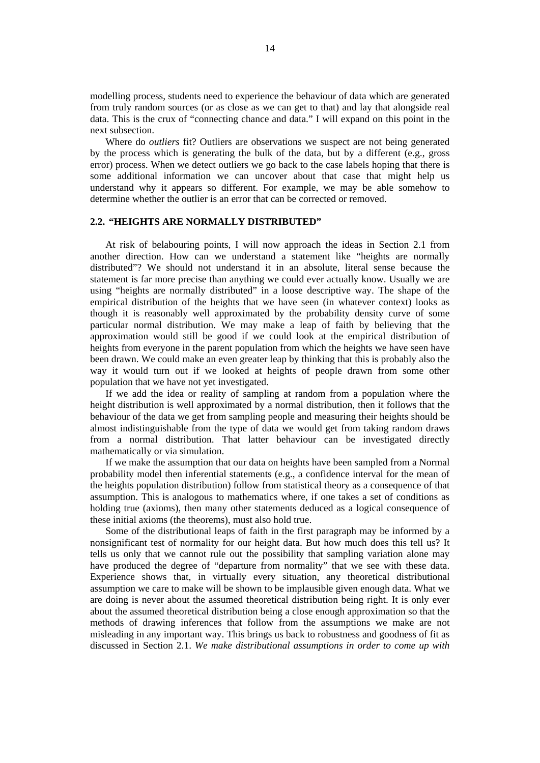modelling process, students need to experience the behaviour of data which are generated from truly random sources (or as close as we can get to that) and lay that alongside real data. This is the crux of "connecting chance and data." I will expand on this point in the next subsection.

Where do *outliers* fit? Outliers are observations we suspect are not being generated by the process which is generating the bulk of the data, but by a different (e.g., gross error) process. When we detect outliers we go back to the case labels hoping that there is some additional information we can uncover about that case that might help us understand why it appears so different. For example, we may be able somehow to determine whether the outlier is an error that can be corrected or removed.

# **2.2. "HEIGHTS ARE NORMALLY DISTRIBUTED"**

At risk of belabouring points, I will now approach the ideas in Section 2.1 from another direction. How can we understand a statement like "heights are normally distributed"? We should not understand it in an absolute, literal sense because the statement is far more precise than anything we could ever actually know. Usually we are using "heights are normally distributed" in a loose descriptive way. The shape of the empirical distribution of the heights that we have seen (in whatever context) looks as though it is reasonably well approximated by the probability density curve of some particular normal distribution. We may make a leap of faith by believing that the approximation would still be good if we could look at the empirical distribution of heights from everyone in the parent population from which the heights we have seen have been drawn. We could make an even greater leap by thinking that this is probably also the way it would turn out if we looked at heights of people drawn from some other population that we have not yet investigated.

If we add the idea or reality of sampling at random from a population where the height distribution is well approximated by a normal distribution, then it follows that the behaviour of the data we get from sampling people and measuring their heights should be almost indistinguishable from the type of data we would get from taking random draws from a normal distribution. That latter behaviour can be investigated directly mathematically or via simulation.

If we make the assumption that our data on heights have been sampled from a Normal probability model then inferential statements (e.g., a confidence interval for the mean of the heights population distribution) follow from statistical theory as a consequence of that assumption. This is analogous to mathematics where, if one takes a set of conditions as holding true (axioms), then many other statements deduced as a logical consequence of these initial axioms (the theorems), must also hold true.

Some of the distributional leaps of faith in the first paragraph may be informed by a nonsignificant test of normality for our height data. But how much does this tell us? It tells us only that we cannot rule out the possibility that sampling variation alone may have produced the degree of "departure from normality" that we see with these data. Experience shows that, in virtually every situation, any theoretical distributional assumption we care to make will be shown to be implausible given enough data. What we are doing is never about the assumed theoretical distribution being right. It is only ever about the assumed theoretical distribution being a close enough approximation so that the methods of drawing inferences that follow from the assumptions we make are not misleading in any important way. This brings us back to robustness and goodness of fit as discussed in Section 2.1. *We make distributional assumptions in order to come up with*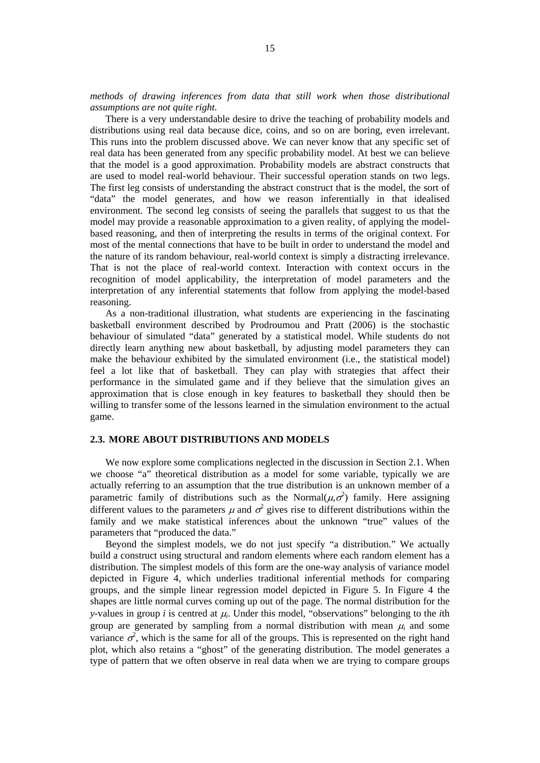*methods of drawing inferences from data that still work when those distributional assumptions are not quite right.*

There is a very understandable desire to drive the teaching of probability models and distributions using real data because dice, coins, and so on are boring, even irrelevant. This runs into the problem discussed above. We can never know that any specific set of real data has been generated from any specific probability model. At best we can believe that the model is a good approximation. Probability models are abstract constructs that are used to model real-world behaviour. Their successful operation stands on two legs. The first leg consists of understanding the abstract construct that is the model, the sort of "data" the model generates, and how we reason inferentially in that idealised environment. The second leg consists of seeing the parallels that suggest to us that the model may provide a reasonable approximation to a given reality, of applying the modelbased reasoning, and then of interpreting the results in terms of the original context. For most of the mental connections that have to be built in order to understand the model and the nature of its random behaviour, real-world context is simply a distracting irrelevance. That is not the place of real-world context. Interaction with context occurs in the recognition of model applicability, the interpretation of model parameters and the interpretation of any inferential statements that follow from applying the model-based reasoning.

As a non-traditional illustration, what students are experiencing in the fascinating basketball environment described by Prodroumou and Pratt (2006) is the stochastic behaviour of simulated "data" generated by a statistical model. While students do not directly learn anything new about basketball, by adjusting model parameters they can make the behaviour exhibited by the simulated environment (i.e., the statistical model) feel a lot like that of basketball. They can play with strategies that affect their performance in the simulated game and if they believe that the simulation gives an approximation that is close enough in key features to basketball they should then be willing to transfer some of the lessons learned in the simulation environment to the actual game.

## **2.3. MORE ABOUT DISTRIBUTIONS AND MODELS**

We now explore some complications neglected in the discussion in Section 2.1. When we choose "a" theoretical distribution as a model for some variable, typically we are actually referring to an assumption that the true distribution is an unknown member of a parametric family of distributions such as the Normal $(\mu, \sigma^2)$  family. Here assigning different values to the parameters  $\mu$  and  $\sigma^2$  gives rise to different distributions within the family and we make statistical inferences about the unknown "true" values of the parameters that "produced the data."

Beyond the simplest models, we do not just specify "a distribution." We actually build a construct using structural and random elements where each random element has a distribution. The simplest models of this form are the one-way analysis of variance model depicted in Figure 4, which underlies traditional inferential methods for comparing groups, and the simple linear regression model depicted in Figure 5. In Figure 4 the shapes are little normal curves coming up out of the page. The normal distribution for the *y*-values in group *i* is centred at <sup>μ</sup>*i*. Under this model, "observations" belonging to the *i*th group are generated by sampling from a normal distribution with mean  $\mu_i$  and some variance  $\sigma^2$ , which is the same for all of the groups. This is represented on the right hand plot, which also retains a "ghost" of the generating distribution. The model generates a type of pattern that we often observe in real data when we are trying to compare groups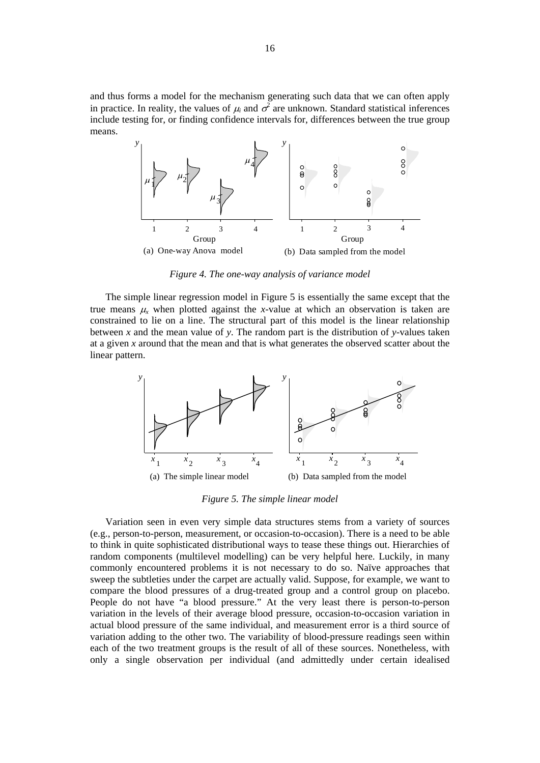and thus forms a model for the mechanism generating such data that we can often apply in practice. In reality, the values of  $\mu_i$  and  $\sigma^2$  are unknown. Standard statistical inferences include testing for, or finding confidence intervals for, differences between the true group means.



*Figure 4. The one-way analysis of variance model* 

The simple linear regression model in Figure 5 is essentially the same except that the true means  $\mu$ <sub>x</sub> when plotted against the *x*-value at which an observation is taken are constrained to lie on a line. The structural part of this model is the linear relationship between *x* and the mean value of *y*. The random part is the distribution of *y*-values taken at a given *x* around that the mean and that is what generates the observed scatter about the linear pattern.



*Figure 5. The simple linear model* 

Variation seen in even very simple data structures stems from a variety of sources (e.g., person-to-person, measurement, or occasion-to-occasion). There is a need to be able to think in quite sophisticated distributional ways to tease these things out. Hierarchies of random components (multilevel modelling) can be very helpful here. Luckily, in many commonly encountered problems it is not necessary to do so. Naïve approaches that sweep the subtleties under the carpet are actually valid. Suppose, for example, we want to compare the blood pressures of a drug-treated group and a control group on placebo. People do not have "a blood pressure." At the very least there is person-to-person variation in the levels of their average blood pressure, occasion-to-occasion variation in actual blood pressure of the same individual, and measurement error is a third source of variation adding to the other two. The variability of blood-pressure readings seen within each of the two treatment groups is the result of all of these sources. Nonetheless, with only a single observation per individual (and admittedly under certain idealised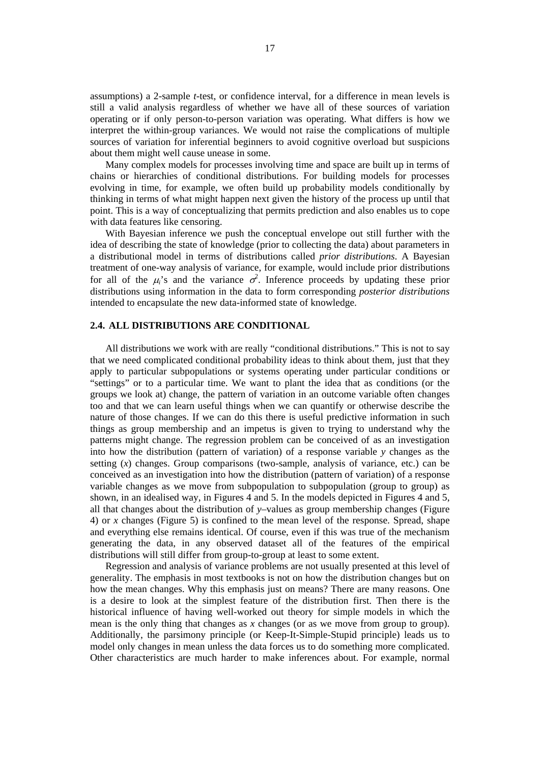assumptions) a 2-sample *t*-test, or confidence interval, for a difference in mean levels is still a valid analysis regardless of whether we have all of these sources of variation operating or if only person-to-person variation was operating. What differs is how we interpret the within-group variances. We would not raise the complications of multiple sources of variation for inferential beginners to avoid cognitive overload but suspicions about them might well cause unease in some.

Many complex models for processes involving time and space are built up in terms of chains or hierarchies of conditional distributions. For building models for processes evolving in time, for example, we often build up probability models conditionally by thinking in terms of what might happen next given the history of the process up until that point. This is a way of conceptualizing that permits prediction and also enables us to cope with data features like censoring.

With Bayesian inference we push the conceptual envelope out still further with the idea of describing the state of knowledge (prior to collecting the data) about parameters in a distributional model in terms of distributions called *prior distributions*. A Bayesian treatment of one-way analysis of variance, for example, would include prior distributions for all of the  $\mu_i$ 's and the variance  $\sigma^2$ . Inference proceeds by updating these prior distributions using information in the data to form corresponding *posterior distributions* intended to encapsulate the new data-informed state of knowledge.

# **2.4. ALL DISTRIBUTIONS ARE CONDITIONAL**

All distributions we work with are really "conditional distributions." This is not to say that we need complicated conditional probability ideas to think about them, just that they apply to particular subpopulations or systems operating under particular conditions or "settings" or to a particular time. We want to plant the idea that as conditions (or the groups we look at) change, the pattern of variation in an outcome variable often changes too and that we can learn useful things when we can quantify or otherwise describe the nature of those changes. If we can do this there is useful predictive information in such things as group membership and an impetus is given to trying to understand why the patterns might change. The regression problem can be conceived of as an investigation into how the distribution (pattern of variation) of a response variable *y* changes as the setting  $(x)$  changes. Group comparisons (two-sample, analysis of variance, etc.) can be conceived as an investigation into how the distribution (pattern of variation) of a response variable changes as we move from subpopulation to subpopulation (group to group) as shown, in an idealised way, in Figures 4 and 5. In the models depicted in Figures 4 and 5, all that changes about the distribution of *y*–values as group membership changes (Figure 4) or *x* changes (Figure 5) is confined to the mean level of the response. Spread, shape and everything else remains identical. Of course, even if this was true of the mechanism generating the data, in any observed dataset all of the features of the empirical distributions will still differ from group-to-group at least to some extent.

Regression and analysis of variance problems are not usually presented at this level of generality. The emphasis in most textbooks is not on how the distribution changes but on how the mean changes. Why this emphasis just on means? There are many reasons. One is a desire to look at the simplest feature of the distribution first. Then there is the historical influence of having well-worked out theory for simple models in which the mean is the only thing that changes as  $x$  changes (or as we move from group to group). Additionally, the parsimony principle (or Keep-It-Simple-Stupid principle) leads us to model only changes in mean unless the data forces us to do something more complicated. Other characteristics are much harder to make inferences about. For example, normal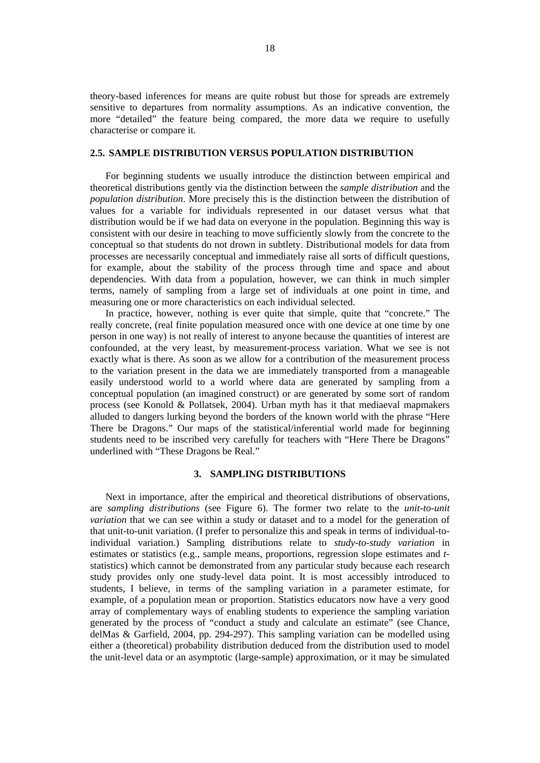theory-based inferences for means are quite robust but those for spreads are extremely sensitive to departures from normality assumptions. As an indicative convention, the more "detailed" the feature being compared, the more data we require to usefully characterise or compare it.

# **2.5. SAMPLE DISTRIBUTION VERSUS POPULATION DISTRIBUTION**

For beginning students we usually introduce the distinction between empirical and theoretical distributions gently via the distinction between the *sample distribution* and the *population distribution*. More precisely this is the distinction between the distribution of values for a variable for individuals represented in our dataset versus what that distribution would be if we had data on everyone in the population. Beginning this way is consistent with our desire in teaching to move sufficiently slowly from the concrete to the conceptual so that students do not drown in subtlety. Distributional models for data from processes are necessarily conceptual and immediately raise all sorts of difficult questions, for example, about the stability of the process through time and space and about dependencies. With data from a population, however, we can think in much simpler terms, namely of sampling from a large set of individuals at one point in time, and measuring one or more characteristics on each individual selected.

In practice, however, nothing is ever quite that simple, quite that "concrete." The really concrete, (real finite population measured once with one device at one time by one person in one way) is not really of interest to anyone because the quantities of interest are confounded, at the very least, by measurement-process variation. What we see is not exactly what is there. As soon as we allow for a contribution of the measurement process to the variation present in the data we are immediately transported from a manageable easily understood world to a world where data are generated by sampling from a conceptual population (an imagined construct) or are generated by some sort of random process (see Konold & Pollatsek, 2004). Urban myth has it that mediaeval mapmakers alluded to dangers lurking beyond the borders of the known world with the phrase "Here There be Dragons." Our maps of the statistical/inferential world made for beginning students need to be inscribed very carefully for teachers with "Here There be Dragons" underlined with "These Dragons be Real."

#### **3. SAMPLING DISTRIBUTIONS**

Next in importance, after the empirical and theoretical distributions of observations, are *sampling distributions* (see Figure 6). The former two relate to the *unit-to-unit variation* that we can see within a study or dataset and to a model for the generation of that unit-to-unit variation. (I prefer to personalize this and speak in terms of individual-toindividual variation.) Sampling distributions relate to *study-to-study variation* in estimates or statistics (e.g., sample means, proportions, regression slope estimates and *t*statistics) which cannot be demonstrated from any particular study because each research study provides only one study-level data point. It is most accessibly introduced to students, I believe, in terms of the sampling variation in a parameter estimate, for example, of a population mean or proportion. Statistics educators now have a very good array of complementary ways of enabling students to experience the sampling variation generated by the process of "conduct a study and calculate an estimate" (see Chance, delMas & Garfield, 2004, pp. 294-297). This sampling variation can be modelled using either a (theoretical) probability distribution deduced from the distribution used to model the unit-level data or an asymptotic (large-sample) approximation, or it may be simulated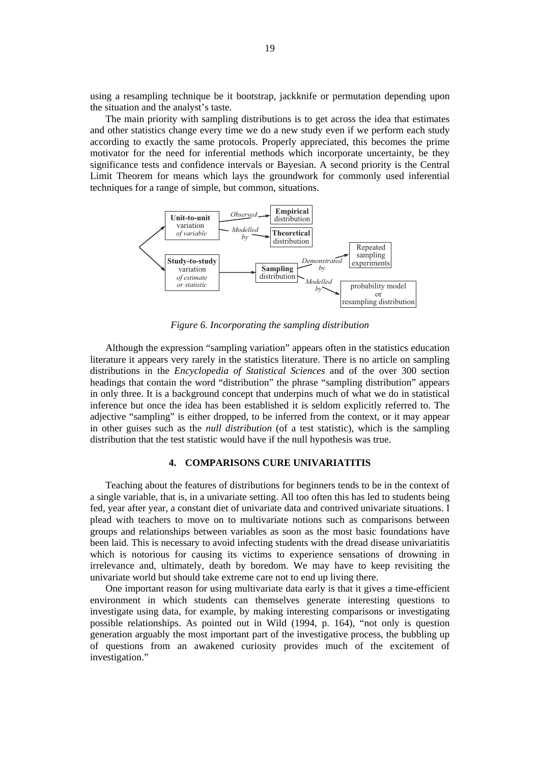using a resampling technique be it bootstrap, jackknife or permutation depending upon the situation and the analyst's taste.

The main priority with sampling distributions is to get across the idea that estimates and other statistics change every time we do a new study even if we perform each study according to exactly the same protocols. Properly appreciated, this becomes the prime motivator for the need for inferential methods which incorporate uncertainty, be they significance tests and confidence intervals or Bayesian. A second priority is the Central Limit Theorem for means which lays the groundwork for commonly used inferential techniques for a range of simple, but common, situations.



*Figure 6. Incorporating the sampling distribution* 

Although the expression "sampling variation" appears often in the statistics education literature it appears very rarely in the statistics literature. There is no article on sampling distributions in the *Encyclopedia of Statistical Sciences* and of the over 300 section headings that contain the word "distribution" the phrase "sampling distribution" appears in only three. It is a background concept that underpins much of what we do in statistical inference but once the idea has been established it is seldom explicitly referred to. The adjective "sampling" is either dropped, to be inferred from the context, or it may appear in other guises such as the *null distribution* (of a test statistic), which is the sampling distribution that the test statistic would have if the null hypothesis was true.

# **4. COMPARISONS CURE UNIVARIATITIS**

Teaching about the features of distributions for beginners tends to be in the context of a single variable, that is, in a univariate setting. All too often this has led to students being fed, year after year, a constant diet of univariate data and contrived univariate situations. I plead with teachers to move on to multivariate notions such as comparisons between groups and relationships between variables as soon as the most basic foundations have been laid. This is necessary to avoid infecting students with the dread disease univariatitis which is notorious for causing its victims to experience sensations of drowning in irrelevance and, ultimately, death by boredom. We may have to keep revisiting the univariate world but should take extreme care not to end up living there.

One important reason for using multivariate data early is that it gives a time-efficient environment in which students can themselves generate interesting questions to investigate using data, for example, by making interesting comparisons or investigating possible relationships. As pointed out in Wild (1994, p. 164), "not only is question generation arguably the most important part of the investigative process, the bubbling up of questions from an awakened curiosity provides much of the excitement of investigation."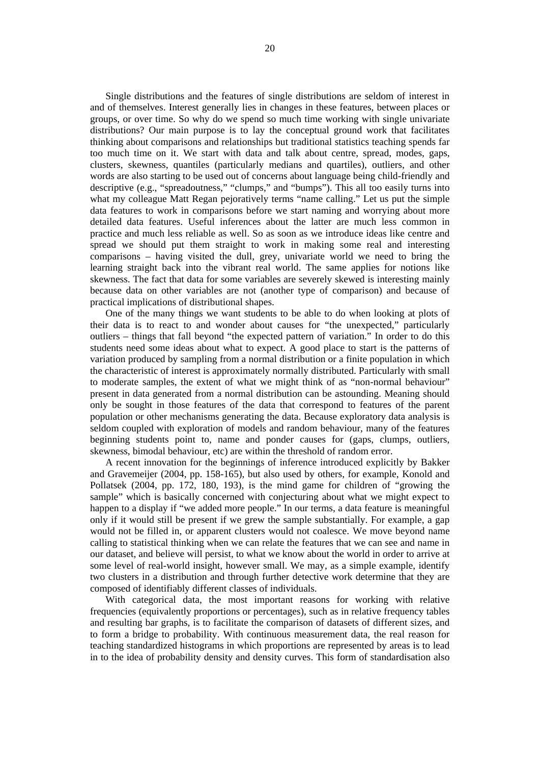Single distributions and the features of single distributions are seldom of interest in and of themselves. Interest generally lies in changes in these features, between places or groups, or over time. So why do we spend so much time working with single univariate distributions? Our main purpose is to lay the conceptual ground work that facilitates thinking about comparisons and relationships but traditional statistics teaching spends far too much time on it. We start with data and talk about centre, spread, modes, gaps, clusters, skewness, quantiles (particularly medians and quartiles), outliers, and other words are also starting to be used out of concerns about language being child-friendly and descriptive (e.g., "spreadoutness," "clumps," and "bumps"). This all too easily turns into what my colleague Matt Regan pejoratively terms "name calling." Let us put the simple data features to work in comparisons before we start naming and worrying about more detailed data features. Useful inferences about the latter are much less common in practice and much less reliable as well. So as soon as we introduce ideas like centre and spread we should put them straight to work in making some real and interesting comparisons – having visited the dull, grey, univariate world we need to bring the learning straight back into the vibrant real world. The same applies for notions like skewness. The fact that data for some variables are severely skewed is interesting mainly because data on other variables are not (another type of comparison) and because of practical implications of distributional shapes.

One of the many things we want students to be able to do when looking at plots of their data is to react to and wonder about causes for "the unexpected," particularly outliers – things that fall beyond "the expected pattern of variation." In order to do this students need some ideas about what to expect. A good place to start is the patterns of variation produced by sampling from a normal distribution or a finite population in which the characteristic of interest is approximately normally distributed. Particularly with small to moderate samples, the extent of what we might think of as "non-normal behaviour" present in data generated from a normal distribution can be astounding. Meaning should only be sought in those features of the data that correspond to features of the parent population or other mechanisms generating the data. Because exploratory data analysis is seldom coupled with exploration of models and random behaviour, many of the features beginning students point to, name and ponder causes for (gaps, clumps, outliers, skewness, bimodal behaviour, etc) are within the threshold of random error.

A recent innovation for the beginnings of inference introduced explicitly by Bakker and Gravemeijer (2004, pp. 158-165), but also used by others, for example, Konold and Pollatsek (2004, pp. 172, 180, 193), is the mind game for children of "growing the sample" which is basically concerned with conjecturing about what we might expect to happen to a display if "we added more people." In our terms, a data feature is meaningful only if it would still be present if we grew the sample substantially. For example, a gap would not be filled in, or apparent clusters would not coalesce. We move beyond name calling to statistical thinking when we can relate the features that we can see and name in our dataset, and believe will persist, to what we know about the world in order to arrive at some level of real-world insight, however small. We may, as a simple example, identify two clusters in a distribution and through further detective work determine that they are composed of identifiably different classes of individuals.

With categorical data, the most important reasons for working with relative frequencies (equivalently proportions or percentages), such as in relative frequency tables and resulting bar graphs, is to facilitate the comparison of datasets of different sizes, and to form a bridge to probability. With continuous measurement data, the real reason for teaching standardized histograms in which proportions are represented by areas is to lead in to the idea of probability density and density curves. This form of standardisation also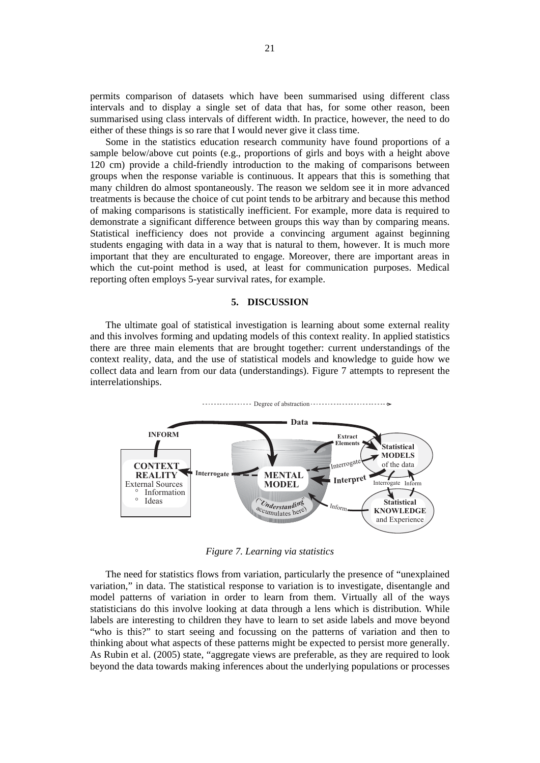permits comparison of datasets which have been summarised using different class intervals and to display a single set of data that has, for some other reason, been summarised using class intervals of different width. In practice, however, the need to do either of these things is so rare that I would never give it class time.

Some in the statistics education research community have found proportions of a sample below/above cut points (e.g., proportions of girls and boys with a height above 120 cm) provide a child-friendly introduction to the making of comparisons between groups when the response variable is continuous. It appears that this is something that many children do almost spontaneously. The reason we seldom see it in more advanced treatments is because the choice of cut point tends to be arbitrary and because this method of making comparisons is statistically inefficient. For example, more data is required to demonstrate a significant difference between groups this way than by comparing means. Statistical inefficiency does not provide a convincing argument against beginning students engaging with data in a way that is natural to them, however. It is much more important that they are enculturated to engage. Moreover, there are important areas in which the cut-point method is used, at least for communication purposes. Medical reporting often employs 5-year survival rates, for example.

# **5. DISCUSSION**

The ultimate goal of statistical investigation is learning about some external reality and this involves forming and updating models of this context reality. In applied statistics there are three main elements that are brought together: current understandings of the context reality, data, and the use of statistical models and knowledge to guide how we collect data and learn from our data (understandings). Figure 7 attempts to represent the interrelationships.



*Figure 7. Learning via statistics* 

The need for statistics flows from variation, particularly the presence of "unexplained variation," in data. The statistical response to variation is to investigate, disentangle and model patterns of variation in order to learn from them. Virtually all of the ways statisticians do this involve looking at data through a lens which is distribution. While labels are interesting to children they have to learn to set aside labels and move beyond "who is this?" to start seeing and focussing on the patterns of variation and then to thinking about what aspects of these patterns might be expected to persist more generally. As Rubin et al. (2005) state, "aggregate views are preferable, as they are required to look beyond the data towards making inferences about the underlying populations or processes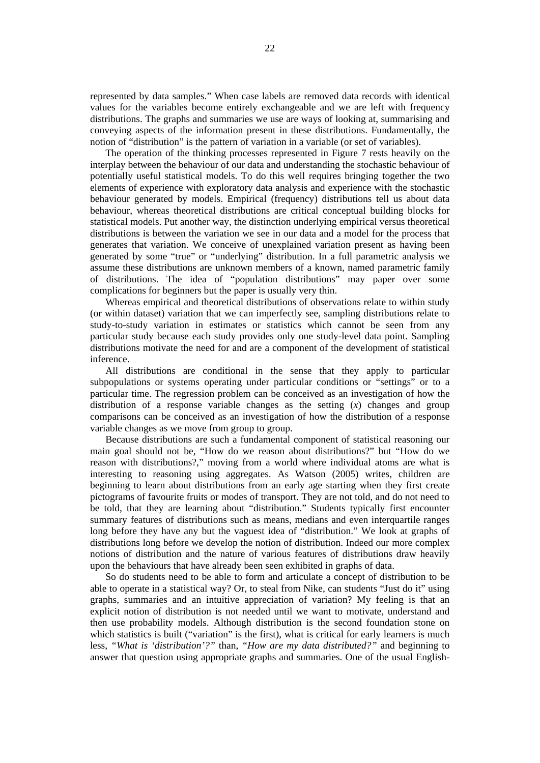represented by data samples." When case labels are removed data records with identical values for the variables become entirely exchangeable and we are left with frequency distributions. The graphs and summaries we use are ways of looking at, summarising and conveying aspects of the information present in these distributions. Fundamentally, the notion of "distribution" is the pattern of variation in a variable (or set of variables).

The operation of the thinking processes represented in Figure 7 rests heavily on the interplay between the behaviour of our data and understanding the stochastic behaviour of potentially useful statistical models. To do this well requires bringing together the two elements of experience with exploratory data analysis and experience with the stochastic behaviour generated by models. Empirical (frequency) distributions tell us about data behaviour, whereas theoretical distributions are critical conceptual building blocks for statistical models. Put another way, the distinction underlying empirical versus theoretical distributions is between the variation we see in our data and a model for the process that generates that variation. We conceive of unexplained variation present as having been generated by some "true" or "underlying" distribution. In a full parametric analysis we assume these distributions are unknown members of a known, named parametric family of distributions. The idea of "population distributions" may paper over some complications for beginners but the paper is usually very thin.

Whereas empirical and theoretical distributions of observations relate to within study (or within dataset) variation that we can imperfectly see, sampling distributions relate to study-to-study variation in estimates or statistics which cannot be seen from any particular study because each study provides only one study-level data point. Sampling distributions motivate the need for and are a component of the development of statistical inference.

All distributions are conditional in the sense that they apply to particular subpopulations or systems operating under particular conditions or "settings" or to a particular time. The regression problem can be conceived as an investigation of how the distribution of a response variable changes as the setting (*x*) changes and group comparisons can be conceived as an investigation of how the distribution of a response variable changes as we move from group to group.

Because distributions are such a fundamental component of statistical reasoning our main goal should not be, "How do we reason about distributions?" but "How do we reason with distributions?," moving from a world where individual atoms are what is interesting to reasoning using aggregates. As Watson (2005) writes, children are beginning to learn about distributions from an early age starting when they first create pictograms of favourite fruits or modes of transport. They are not told, and do not need to be told, that they are learning about "distribution." Students typically first encounter summary features of distributions such as means, medians and even interquartile ranges long before they have any but the vaguest idea of "distribution." We look at graphs of distributions long before we develop the notion of distribution. Indeed our more complex notions of distribution and the nature of various features of distributions draw heavily upon the behaviours that have already been seen exhibited in graphs of data.

So do students need to be able to form and articulate a concept of distribution to be able to operate in a statistical way? Or, to steal from Nike, can students "Just do it" using graphs, summaries and an intuitive appreciation of variation? My feeling is that an explicit notion of distribution is not needed until we want to motivate, understand and then use probability models. Although distribution is the second foundation stone on which statistics is built ("variation" is the first), what is critical for early learners is much less, *"What is 'distribution'?"* than, *"How are my data distributed?"* and beginning to answer that question using appropriate graphs and summaries. One of the usual English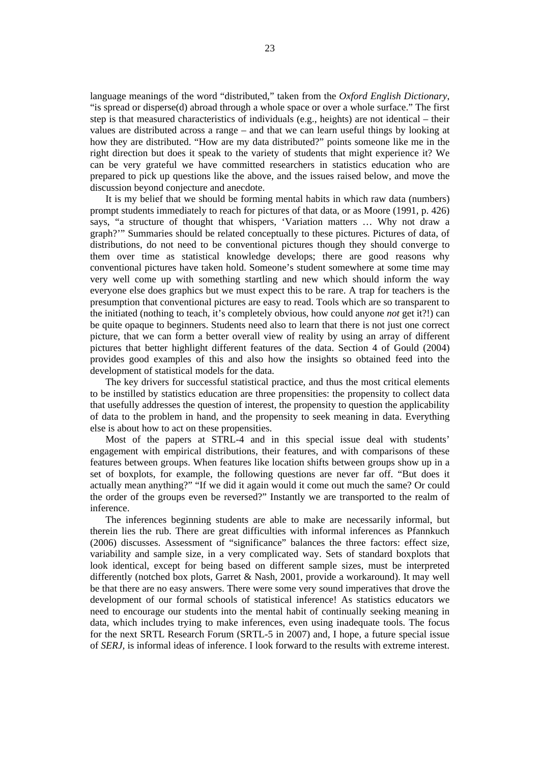language meanings of the word "distributed," taken from the *Oxford English Dictionary*, "is spread or disperse(d) abroad through a whole space or over a whole surface." The first step is that measured characteristics of individuals (e.g., heights) are not identical – their values are distributed across a range – and that we can learn useful things by looking at how they are distributed. "How are my data distributed?" points someone like me in the right direction but does it speak to the variety of students that might experience it? We can be very grateful we have committed researchers in statistics education who are prepared to pick up questions like the above, and the issues raised below, and move the discussion beyond conjecture and anecdote.

It is my belief that we should be forming mental habits in which raw data (numbers) prompt students immediately to reach for pictures of that data, or as Moore (1991, p. 426) says, "a structure of thought that whispers, 'Variation matters … Why not draw a graph?'" Summaries should be related conceptually to these pictures. Pictures of data, of distributions, do not need to be conventional pictures though they should converge to them over time as statistical knowledge develops; there are good reasons why conventional pictures have taken hold. Someone's student somewhere at some time may very well come up with something startling and new which should inform the way everyone else does graphics but we must expect this to be rare. A trap for teachers is the presumption that conventional pictures are easy to read. Tools which are so transparent to the initiated (nothing to teach, it's completely obvious, how could anyone *not* get it?!) can be quite opaque to beginners. Students need also to learn that there is not just one correct picture, that we can form a better overall view of reality by using an array of different pictures that better highlight different features of the data. Section 4 of Gould (2004) provides good examples of this and also how the insights so obtained feed into the development of statistical models for the data.

The key drivers for successful statistical practice, and thus the most critical elements to be instilled by statistics education are three propensities: the propensity to collect data that usefully addresses the question of interest, the propensity to question the applicability of data to the problem in hand, and the propensity to seek meaning in data. Everything else is about how to act on these propensities.

Most of the papers at STRL-4 and in this special issue deal with students' engagement with empirical distributions, their features, and with comparisons of these features between groups. When features like location shifts between groups show up in a set of boxplots, for example, the following questions are never far off. "But does it actually mean anything?" "If we did it again would it come out much the same? Or could the order of the groups even be reversed?" Instantly we are transported to the realm of inference.

The inferences beginning students are able to make are necessarily informal, but therein lies the rub. There are great difficulties with informal inferences as Pfannkuch (2006) discusses. Assessment of "significance" balances the three factors: effect size, variability and sample size, in a very complicated way. Sets of standard boxplots that look identical, except for being based on different sample sizes, must be interpreted differently (notched box plots, Garret & Nash, 2001, provide a workaround). It may well be that there are no easy answers. There were some very sound imperatives that drove the development of our formal schools of statistical inference! As statistics educators we need to encourage our students into the mental habit of continually seeking meaning in data, which includes trying to make inferences, even using inadequate tools. The focus for the next SRTL Research Forum (SRTL-5 in 2007) and, I hope, a future special issue of *SERJ,* is informal ideas of inference. I look forward to the results with extreme interest.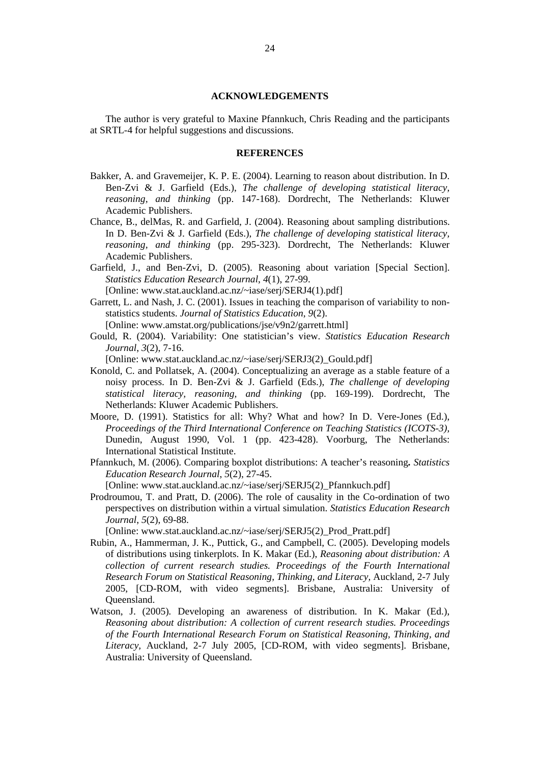#### **ACKNOWLEDGEMENTS**

The author is very grateful to Maxine Pfannkuch, Chris Reading and the participants at SRTL-4 for helpful suggestions and discussions.

# **REFERENCES**

- Bakker, A. and Gravemeijer, K. P. E. (2004). Learning to reason about distribution. In D. Ben-Zvi & J. Garfield (Eds.), *The challenge of developing statistical literacy, reasoning, and thinking* (pp. 147-168). Dordrecht, The Netherlands: Kluwer Academic Publishers.
- Chance, B., delMas, R. and Garfield, J. (2004). Reasoning about sampling distributions. In D. Ben-Zvi & J. Garfield (Eds.), *The challenge of developing statistical literacy, reasoning, and thinking* (pp. 295-323). Dordrecht, The Netherlands: Kluwer Academic Publishers.
- Garfield, J., and Ben-Zvi, D. (2005). Reasoning about variation [Special Section]. *Statistics Education Research Journal*, *4*(1), 27-99. [Online: www.stat.auckland.ac.nz/~iase/serj/SERJ4(1).pdf]
- Garrett, L. and Nash, J. C. (2001). Issues in teaching the comparison of variability to nonstatistics students. *Journal of Statistics Education*, *9*(2).

[Online: www.amstat.org/publications/jse/v9n2/garrett.html]

Gould, R. (2004). Variability: One statistician's view. *Statistics Education Research Journal*, *3*(2), 7-16.

[Online: www.stat.auckland.ac.nz/~iase/serj/SERJ3(2)\_Gould.pdf]

- Konold, C. and Pollatsek, A. (2004). Conceptualizing an average as a stable feature of a noisy process. In D. Ben-Zvi & J. Garfield (Eds.), *The challenge of developing statistical literacy, reasoning, and thinking* (pp. 169-199). Dordrecht, The Netherlands: Kluwer Academic Publishers.
- Moore, D. (1991). Statistics for all: Why? What and how? In D. Vere-Jones (Ed.), *Proceedings of the Third International Conference on Teaching Statistics (ICOTS-3),*  Dunedin, August 1990, Vol. 1 (pp. 423-428). Voorburg, The Netherlands: International Statistical Institute.
- Pfannkuch, M. (2006). Comparing boxplot distributions: A teacher's reasoning*. Statistics Education Research Journal*, *5*(2), 27-45.

[Online: www.stat.auckland.ac.nz/~iase/serj/SERJ5(2)\_Pfannkuch.pdf]

Prodroumou, T. and Pratt, D. (2006). The role of causality in the Co-ordination of two perspectives on distribution within a virtual simulation. *Statistics Education Research Journal*, *5*(2), 69-88.

[Online: www.stat.auckland.ac.nz/~iase/serj/SERJ5(2)\_Prod\_Pratt.pdf]

- Rubin, A., Hammerman, J. K., Puttick, G., and Campbell, C. (2005). Developing models of distributions using tinkerplots. In K. Makar (Ed.), *Reasoning about distribution: A collection of current research studies. Proceedings of the Fourth International Research Forum on Statistical Reasoning, Thinking, and Literacy,* Auckland, 2-7 July 2005, [CD-ROM, with video segments]. Brisbane, Australia: University of Queensland.
- Watson, J. (2005)*.* Developing an awareness of distribution. In K. Makar (Ed.), *Reasoning about distribution: A collection of current research studies. Proceedings of the Fourth International Research Forum on Statistical Reasoning, Thinking, and Literacy,* Auckland, 2-7 July 2005, [CD-ROM, with video segments]. Brisbane, Australia: University of Queensland.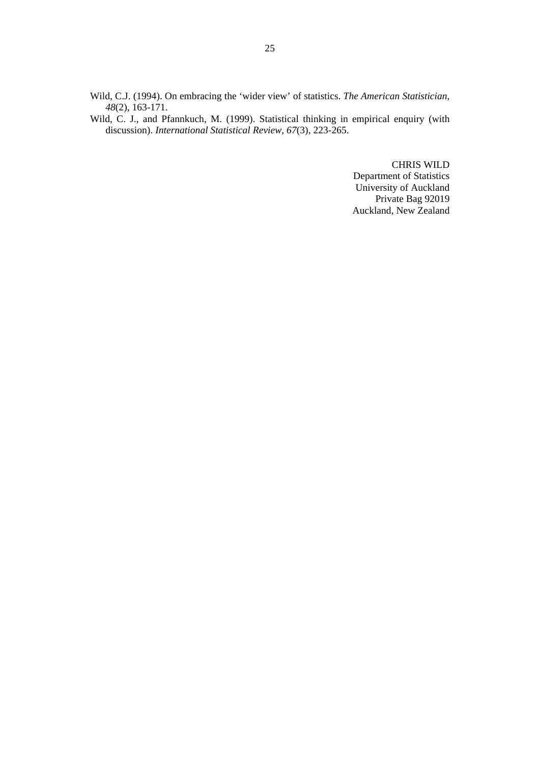Wild, C.J. (1994). On embracing the 'wider view' of statistics. *The American Statistician*, *48*(2), 163-171.

Wild, C. J., and Pfannkuch, M. (1999). Statistical thinking in empirical enquiry (with discussion). *International Statistical Review, 67*(3), 223-265.

> CHRIS WILD Department of Statistics University of Auckland Private Bag 92019 Auckland, New Zealand